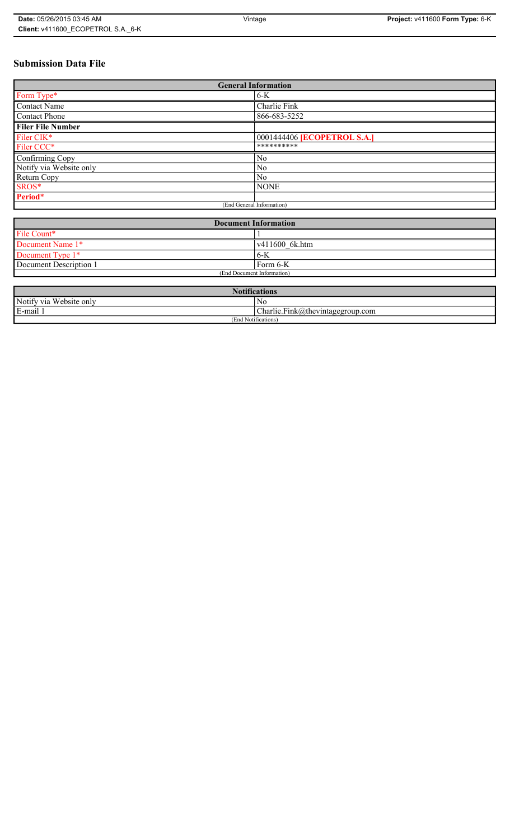# **Submission Data File**

| <b>General Information</b> |                                    |
|----------------------------|------------------------------------|
| Form Type*                 | $6-K$                              |
| Contact Name               | Charlie Fink                       |
| <b>Contact Phone</b>       | 866-683-5252                       |
| <b>Filer File Number</b>   |                                    |
| Filer CIK*                 | 0001444406 <b>[ECOPETROL S.A.]</b> |
| Filer CCC*                 | **********                         |
| Confirming Copy            | No                                 |
| Notify via Website only    | N <sub>0</sub>                     |
| Return Copy                | N <sub>0</sub>                     |
| SROS*                      | <b>NONE</b>                        |
| Period*                    |                                    |
| (End General Information)  |                                    |

| <b>Document Information</b> |                        |
|-----------------------------|------------------------|
| File Count*                 |                        |
| Document Name 1*            | $\sqrt{411600}$ 6k.htm |
| Document Type 1*            | ' 6-K                  |
| Document Description 1      | Form 6-K               |
| (End Document Information)  |                        |

| <b>Notifications</b>            |                                  |
|---------------------------------|----------------------------------|
| Notify via Website only         | No                               |
| E-mail                          | Charlie.Fink@thevintagegroup.com |
| $\cdots$<br>(End Notifications) |                                  |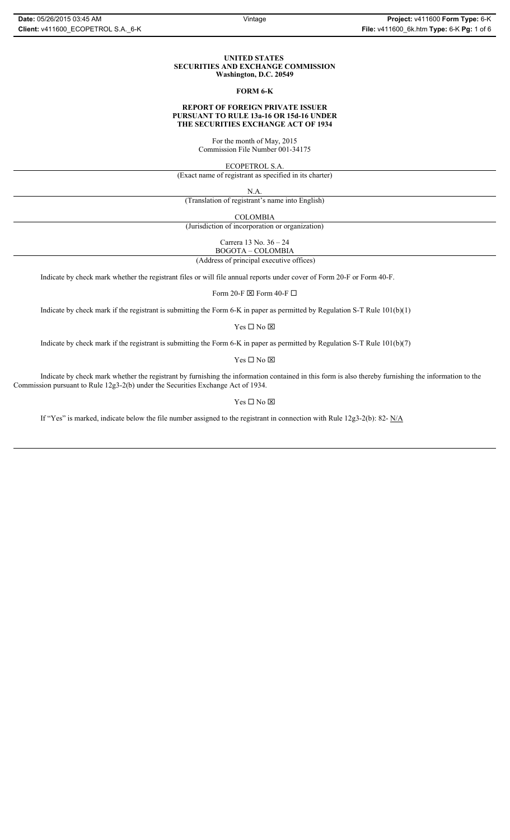#### **UNITED STATES SECURITIES AND EXCHANGE COMMISSION Washington, D.C. 20549**

#### **FORM 6-K**

## **REPORT OF FOREIGN PRIVATE ISSUER PURSUANT TO RULE 13a-16 OR 15d-16 UNDER THE SECURITIES EXCHANGE ACT OF 1934**

For the month of May, 2015 Commission File Number 001-34175

ECOPETROL S.A.

(Exact name of registrant as specified in its charter)

N.A.

(Translation of registrant's name into English)

COLOMBIA

(Jurisdiction of incorporation or organization)

Carrera 13 No. 36 – 24

 (Address of principal executive offices) BOGOTA – COLOMBIA

Indicate by check mark whether the registrant files or will file annual reports under cover of Form 20-F or Form 40-F.

Form 20-F  $\boxtimes$  Form 40-F  $\Box$ 

Indicate by check mark if the registrant is submitting the Form 6-K in paper as permitted by Regulation S-T Rule 101(b)(1)

 $Yes \Box No \boxtimes$ 

Indicate by check mark if the registrant is submitting the Form 6-K in paper as permitted by Regulation S-T Rule 101(b)(7)

 $\mathbf{Y}\mathbf{es} \ \Box \ \mathbf{No} \ \overline{\mathbf{\mathbf{\Xi}}}$ 

Indicate by check mark whether the registrant by furnishing the information contained in this form is also thereby furnishing the information to the Commission pursuant to Rule 12g3-2(b) under the Securities Exchange Act of 1934.

## $Yes \Box No \boxtimes$

If "Yes" is marked, indicate below the file number assigned to the registrant in connection with Rule 12g3-2(b): 82-  $N/A$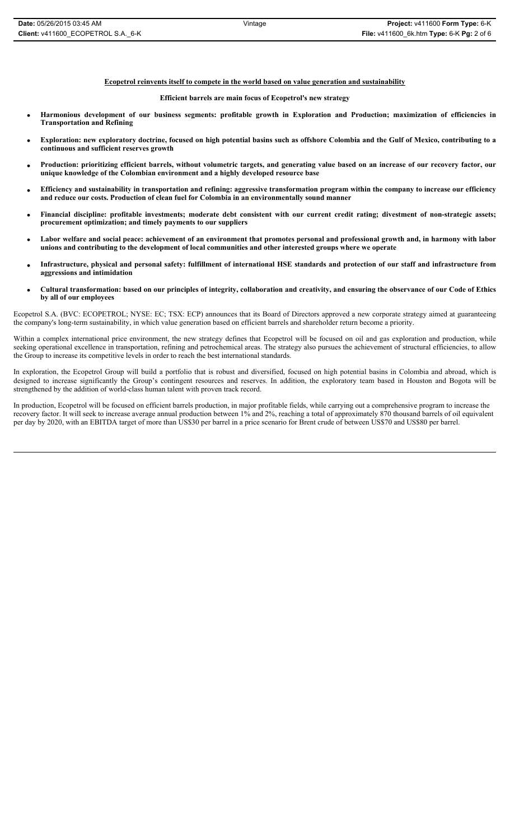**Ecopetrol reinvents itself to compete in the world based on value generation and sustainability**

#### **Efficient barrels are main focus of Ecopetrol's new strategy**

- x **Harmonious development of our business segments: profitable growth in Exploration and Production; maximization of efficiencies in Transportation and Refining**
- x **Exploration: new exploratory doctrine, focused on high potential basins such as offshore Colombia and the Gulf of Mexico, contributing to a continuous and sufficient reserves growth**
- x **Production: prioritizing efficient barrels, without volumetric targets, and generating value based on an increase of our recovery factor, our unique knowledge of the Colombian environment and a highly developed resource base**
- x **Efficiency and sustainability in transportation and refining: aggressive transformation program within the company to increase our efficiency and reduce our costs. Production of clean fuel for Colombia in an environmentally sound manner**
- x **Financial discipline: profitable investments; moderate debt consistent with our current credit rating; divestment of non-strategic assets; procurement optimization; and timely payments to our suppliers**
- Labor welfare and social peace: achievement of an environment that promotes personal and professional growth and, in harmony with labor **unions and contributing to the development of local communities and other interested groups where we operate**
- x **Infrastructure, physical and personal safety: fulfillment of international HSE standards and protection of our staff and infrastructure from aggressions and intimidation**
- x **Cultural transformation: based on our principles of integrity, collaboration and creativity, and ensuring the observance of our Code of Ethics by all of our employees**

Ecopetrol S.A. (BVC: ECOPETROL; NYSE: EC; TSX: ECP) announces that its Board of Directors approved a new corporate strategy aimed at guaranteeing the company's long-term sustainability, in which value generation based on efficient barrels and shareholder return become a priority.

Within a complex international price environment, the new strategy defines that Ecopetrol will be focused on oil and gas exploration and production, while seeking operational excellence in transportation, refining and petrochemical areas. The strategy also pursues the achievement of structural efficiencies, to allow the Group to increase its competitive levels in order to reach the best international standards.

In exploration, the Ecopetrol Group will build a portfolio that is robust and diversified, focused on high potential basins in Colombia and abroad, which is designed to increase significantly the Group's contingent resources and reserves. In addition, the exploratory team based in Houston and Bogota will be strengthened by the addition of world-class human talent with proven track record.

In production, Ecopetrol will be focused on efficient barrels production, in major profitable fields, while carrying out a comprehensive program to increase the recovery factor. It will seek to increase average annual production between 1% and 2%, reaching a total of approximately 870 thousand barrels of oil equivalent per day by 2020, with an EBITDA target of more than US\$30 per barrel in a price scenario for Brent crude of between US\$70 and US\$80 per barrel.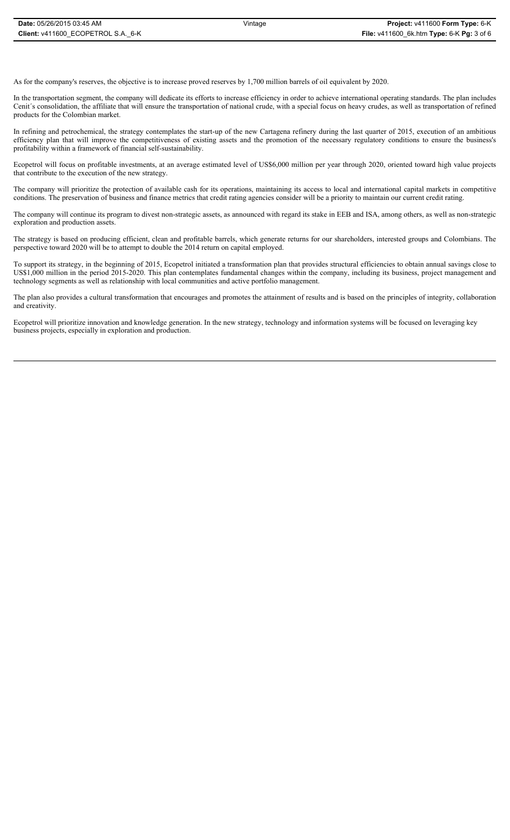As for the company's reserves, the objective is to increase proved reserves by 1,700 million barrels of oil equivalent by 2020.

In the transportation segment, the company will dedicate its efforts to increase efficiency in order to achieve international operating standards. The plan includes Cenit´s consolidation, the affiliate that will ensure the transportation of national crude, with a special focus on heavy crudes, as well as transportation of refined products for the Colombian market.

In refining and petrochemical, the strategy contemplates the start-up of the new Cartagena refinery during the last quarter of 2015, execution of an ambitious efficiency plan that will improve the competitiveness of existing assets and the promotion of the necessary regulatory conditions to ensure the business's profitability within a framework of financial self-sustainability.

Ecopetrol will focus on profitable investments, at an average estimated level of US\$6,000 million per year through 2020, oriented toward high value projects that contribute to the execution of the new strategy.

The company will prioritize the protection of available cash for its operations, maintaining its access to local and international capital markets in competitive conditions. The preservation of business and finance metrics that credit rating agencies consider will be a priority to maintain our current credit rating.

The company will continue its program to divest non-strategic assets, as announced with regard its stake in EEB and ISA, among others, as well as non-strategic exploration and production assets.

The strategy is based on producing efficient, clean and profitable barrels, which generate returns for our shareholders, interested groups and Colombians. The perspective toward 2020 will be to attempt to double the 2014 return on capital employed.

To support its strategy, in the beginning of 2015, Ecopetrol initiated a transformation plan that provides structural efficiencies to obtain annual savings close to US\$1,000 million in the period 2015-2020. This plan contemplates fundamental changes within the company, including its business, project management and technology segments as well as relationship with local communities and active portfolio management.

The plan also provides a cultural transformation that encourages and promotes the attainment of results and is based on the principles of integrity, collaboration and creativity.

Ecopetrol will prioritize innovation and knowledge generation. In the new strategy, technology and information systems will be focused on leveraging key business projects, especially in exploration and production.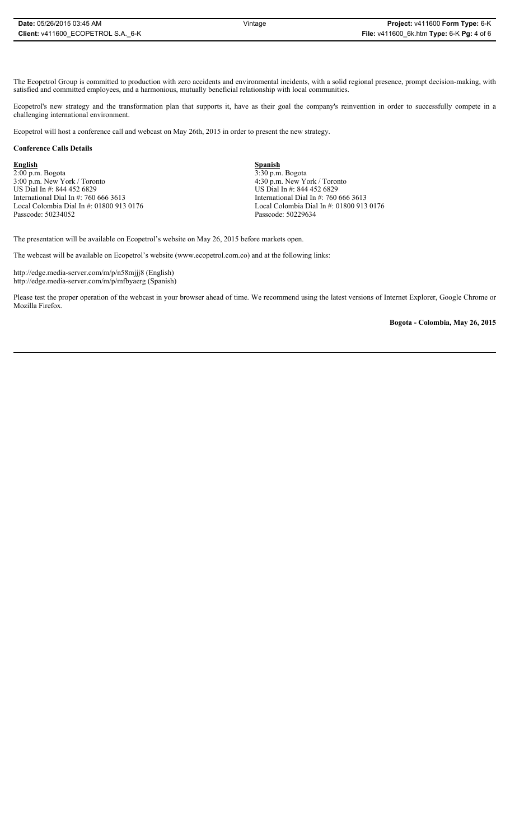The Ecopetrol Group is committed to production with zero accidents and environmental incidents, with a solid regional presence, prompt decision-making, with satisfied and committed employees, and a harmonious, mutually beneficial relationship with local communities.

Ecopetrol's new strategy and the transformation plan that supports it, have as their goal the company's reinvention in order to successfully compete in a challenging international environment.

Ecopetrol will host a conference call and webcast on May 26th, 2015 in order to present the new strategy.

## **Conference Calls Details**

**English** 2:00 p.m. Bogota 3:00 p.m. New York / Toronto US Dial In #: 844 452 6829 International Dial In #: 760 666 3613 Local Colombia Dial In #: 01800 913 0176 Passcode: 50234052

**Spanish** 3:30 p.m. Bogota 4:30 p.m. New York / Toronto US Dial In #: 844 452 6829 International Dial In #: 760 666 3613 Local Colombia Dial In #: 01800 913 0176 Passcode: 50229634

The presentation will be available on Ecopetrol's website on May 26, 2015 before markets open.

The webcast will be available on Ecopetrol's website (www.ecopetrol.com.co) and at the following links:

http://edge.media-server.com/m/p/n58mjjj8 (English) http://edge.media-server.com/m/p/mfbyaerg (Spanish)

Please test the proper operation of the webcast in your browser ahead of time. We recommend using the latest versions of Internet Explorer, Google Chrome or Mozilla Firefox.

**Bogota - Colombia, May 26, 2015**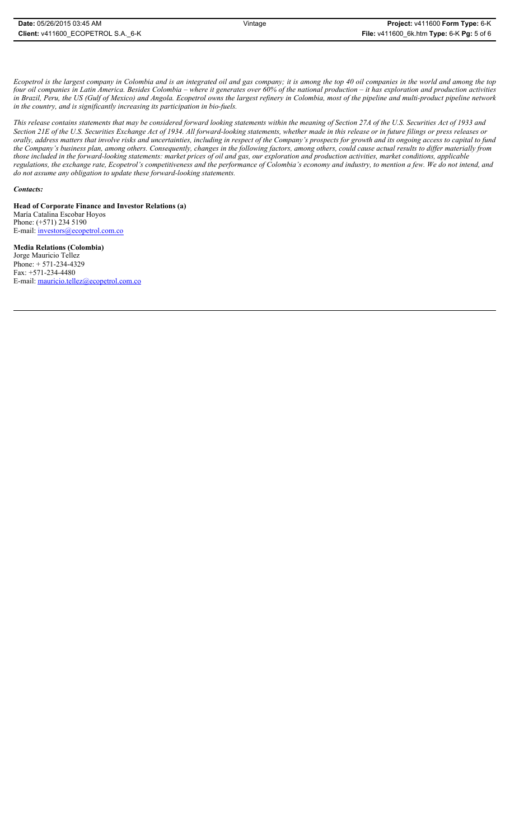*Ecopetrol is the largest company in Colombia and is an integrated oil and gas company; it is among the top 40 oil companies in the world and among the top four oil companies in Latin America. Besides Colombia – where it generates over 60% of the national production – it has exploration and production activities in Brazil, Peru, the US (Gulf of Mexico) and Angola. Ecopetrol owns the largest refinery in Colombia, most of the pipeline and multi-product pipeline network in the country, and is significantly increasing its participation in bio-fuels.* 

*This release contains statements that may be considered forward looking statements within the meaning of Section 27A of the U.S. Securities Act of 1933 and Section 21E of the U.S. Securities Exchange Act of 1934. All forward-looking statements, whether made in this release or in future filings or press releases or orally, address matters that involve risks and uncertainties, including in respect of the Company's prospects for growth and its ongoing access to capital to fund the Company's business plan, among others. Consequently, changes in the following factors, among others, could cause actual results to differ materially from those included in the forward-looking statements: market prices of oil and gas, our exploration and production activities, market conditions, applicable regulations, the exchange rate, Ecopetrol's competitiveness and the performance of Colombia's economy and industry, to mention a few. We do not intend, and do not assume any obligation to update these forward-looking statements.*

## *Contacts:*

**Head of Corporate Finance and Investor Relations (a)** María Catalina Escobar Hoyos Phone: (+571) 234 5190 E-mail: investors@ecopetrol.com.co

**Media Relations (Colombia)**  Jorge Mauricio Tellez Phone: + 571-234-4329 Fax: +571-234-4480 E-mail: mauricio.tellez@ecopetrol.com.co